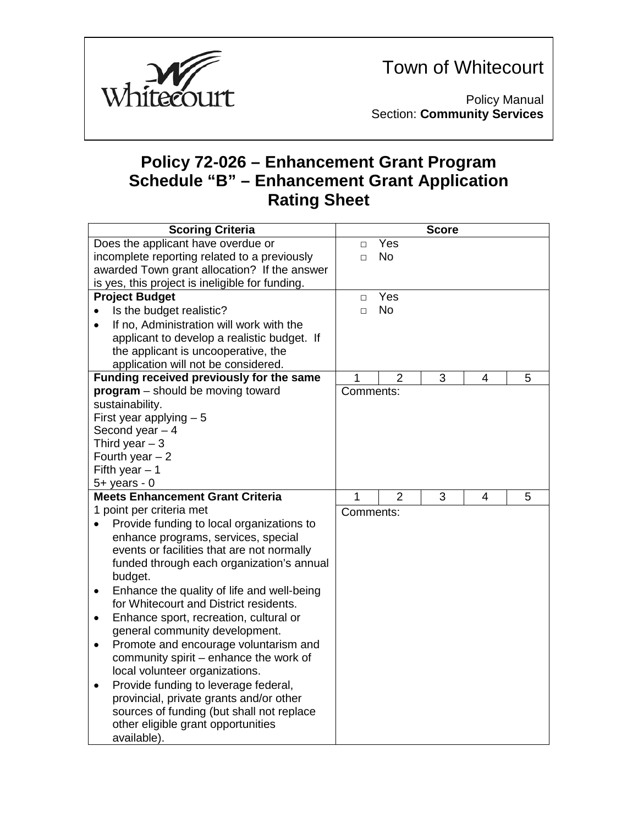

Town of Whitecourt

Policy Manual Section: **Community Services**

## **Policy 72-026 – Enhancement Grant Program Schedule "B" – Enhancement Grant Application Rating Sheet**

| <b>Scoring Criteria</b>                               | <b>Score</b> |                |   |   |   |  |
|-------------------------------------------------------|--------------|----------------|---|---|---|--|
| Does the applicant have overdue or                    | $\Box$       | Yes            |   |   |   |  |
| incomplete reporting related to a previously          | $\Box$       | <b>No</b>      |   |   |   |  |
| awarded Town grant allocation? If the answer          |              |                |   |   |   |  |
| is yes, this project is ineligible for funding.       |              |                |   |   |   |  |
| <b>Project Budget</b>                                 | $\Box$       | Yes            |   |   |   |  |
| Is the budget realistic?<br>$\bullet$                 | $\Box$       | <b>No</b>      |   |   |   |  |
| If no, Administration will work with the<br>$\bullet$ |              |                |   |   |   |  |
| applicant to develop a realistic budget. If           |              |                |   |   |   |  |
| the applicant is uncooperative, the                   |              |                |   |   |   |  |
| application will not be considered.                   |              |                |   |   |   |  |
| Funding received previously for the same              | 1            | $\overline{2}$ | 3 | 4 | 5 |  |
| program - should be moving toward                     | Comments:    |                |   |   |   |  |
| sustainability.                                       |              |                |   |   |   |  |
| First year applying $-5$                              |              |                |   |   |   |  |
| Second year $-4$                                      |              |                |   |   |   |  |
| Third year $-3$                                       |              |                |   |   |   |  |
| Fourth year $-2$                                      |              |                |   |   |   |  |
| Fifth year $-1$                                       |              |                |   |   |   |  |
| $5+$ years - 0                                        |              |                |   |   |   |  |
| <b>Meets Enhancement Grant Criteria</b>               | 1            | $\overline{2}$ | 3 | 4 | 5 |  |
| 1 point per criteria met                              | Comments:    |                |   |   |   |  |
| Provide funding to local organizations to             |              |                |   |   |   |  |
| enhance programs, services, special                   |              |                |   |   |   |  |
| events or facilities that are not normally            |              |                |   |   |   |  |
| funded through each organization's annual             |              |                |   |   |   |  |
| budget.                                               |              |                |   |   |   |  |
| Enhance the quality of life and well-being<br>٠       |              |                |   |   |   |  |
| for Whitecourt and District residents.                |              |                |   |   |   |  |
| Enhance sport, recreation, cultural or<br>$\bullet$   |              |                |   |   |   |  |
| general community development.                        |              |                |   |   |   |  |
| Promote and encourage voluntarism and<br>$\bullet$    |              |                |   |   |   |  |
| community spirit – enhance the work of                |              |                |   |   |   |  |
| local volunteer organizations.                        |              |                |   |   |   |  |
| Provide funding to leverage federal,<br>$\bullet$     |              |                |   |   |   |  |
| provincial, private grants and/or other               |              |                |   |   |   |  |
| sources of funding (but shall not replace             |              |                |   |   |   |  |
| other eligible grant opportunities                    |              |                |   |   |   |  |
| available).                                           |              |                |   |   |   |  |